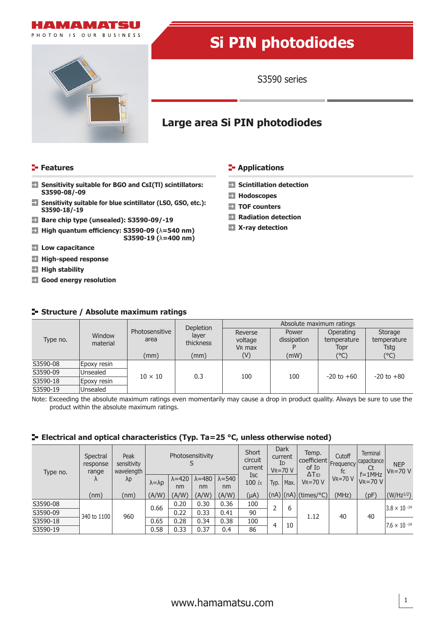



# **Si PIN photodiodes**

S3590 series

## **Large area Si PIN photodiodes**

### **Features CONSIDERING INCREDICT IN THE EXAMPLE THE EXAMPLE THE EXAMPLE THE EXAMPLE THE EXAMPLE THE EXAMPLE THE EXAMPLE THE EXAMPLE THE EXAMPLE THE EXAMPLE THE EXAMPLE THE EXAMPLE THE EXAMPLE THE EXAMPLE THE EXAMPLE THE E**

- $\rightarrow$ **Sensitivity suitable for BGO and CsI(Tl) scintillators: Sensitivity suitable for BGO and CsI(Tl) scintillators: S3590-08/-09**
- **Sensitivity suitable for blue scintillator (LSO, GSO, etc.):**   $\rightarrow$ **S3590-18/-19**
- **Bare chip type (unsealed): S3590-09/-19**
- **X-ray detection High quantum efficiency: S3590-09 (**λ**=540 nm) S3590-19 (**λ**=400 nm)**
- **Low capacitance**
- **High-speed response**
- **High stability**
- **Good energy resolution**

### **Structure / Absolute maximum ratings**

- 
- **Hodoscopes**
- **TOF counters**
- **Radiation detection**
- 

| Type no. | Window<br>material |                        | Depletion          | Absolute maximum ratings                 |                      |                                  |                                |  |  |
|----------|--------------------|------------------------|--------------------|------------------------------------------|----------------------|----------------------------------|--------------------------------|--|--|
|          |                    | Photosensitive<br>area | laver<br>thickness | Reverse<br>voltage<br>V <sub>R</sub> max | Power<br>dissipation | Operating<br>temperature<br>Topr | Storage<br>temperature<br>Tstg |  |  |
|          |                    | (mm)                   | (mm)               | (V)                                      | (mW)                 | (°C)                             | (°C)                           |  |  |
| S3590-08 | Epoxy resin        |                        | 0.3                |                                          |                      | $-20$ to $+60$                   | $-20$ to $+80$                 |  |  |
| S3590-09 | Unsealed           | $10 \times 10$         |                    | 100                                      | 100                  |                                  |                                |  |  |
| S3590-18 | Epoxy resin        |                        |                    |                                          |                      |                                  |                                |  |  |
| S3590-19 | Unsealed           |                        |                    |                                          |                      |                                  |                                |  |  |

Note: Exceeding the absolute maximum ratings even momentarily may cause a drop in product quality. Always be sure to use the product within the absolute maximum ratings.

### **E** Electrical and optical characteristics (Typ. Ta=25 °C, unless otherwise noted)

| Type no. | Spectral<br>response<br>range<br>Λ | Peak<br>sensitivity<br>wavelength<br>$\lambda p$ | Photosensitivity      |                       |                       | Short<br>circuit<br>current |                        | Dark<br>current<br>ĪD<br>$V_R = 70 V$ | Temp.<br>  coefficient  <br>of I <sub>D</sub> | Cutoff<br>Frequency<br>tc       | <b>Terminal</b><br>capacitance<br>Ct | <b>NEP</b><br>$V_R = 70 V$  |                       |
|----------|------------------------------------|--------------------------------------------------|-----------------------|-----------------------|-----------------------|-----------------------------|------------------------|---------------------------------------|-----------------------------------------------|---------------------------------|--------------------------------------|-----------------------------|-----------------------|
|          |                                    |                                                  | $\lambda = \lambda p$ | $\lambda = 420$<br>nm | $\lambda = 480$<br>nm | $\lambda = 540$<br>nm       | <b>Isc</b><br>100 $lx$ | Typ.                                  | Max.                                          | $\Delta T_{ID}$<br>$V_R = 70 V$ | $VR = 70 V$                          | $f = 1$ MHz<br>$V_R = 70 V$ |                       |
|          | (nm)                               | (nm)                                             | (A/W)                 | (A/W)                 | (A/W)                 | (A/W)                       | $(\mu A)$              |                                       |                                               | $(nA) (nA) $ (times/°C)         | (MHz)                                | (pF)                        | $(W/Hz^{1/2})$        |
| S3590-08 | 340 to 1100                        | 960                                              | 0.66<br>0.65<br>0.58  | 0.20                  | 0.30                  | 0.36                        | 100                    |                                       | 6                                             |                                 | 40                                   | 40                          | $3.8 \times 10^{-14}$ |
| S3590-09 |                                    |                                                  |                       | 0.22                  | 0.33                  | 0.41                        | 90                     |                                       |                                               | 1.12                            |                                      |                             |                       |
| S3590-18 |                                    |                                                  |                       | 0.28                  | 0.34                  | 0.38                        | 100                    | 4                                     | 10                                            |                                 |                                      |                             | $7.6 \times 10^{-14}$ |
| S3590-19 |                                    |                                                  |                       | 0.33                  | 0.37                  | 0.4                         | 86                     |                                       |                                               |                                 |                                      |                             |                       |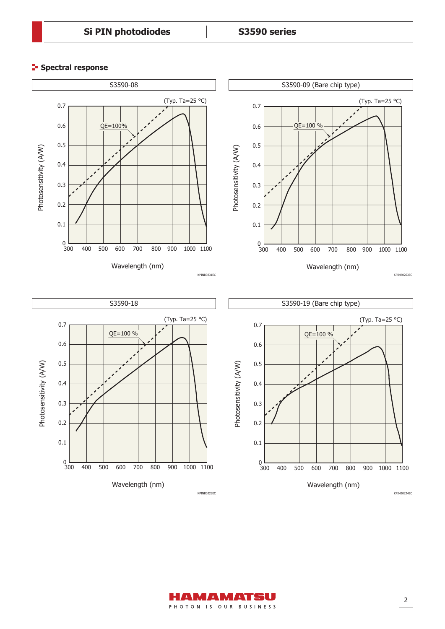### **E-** Spectral response



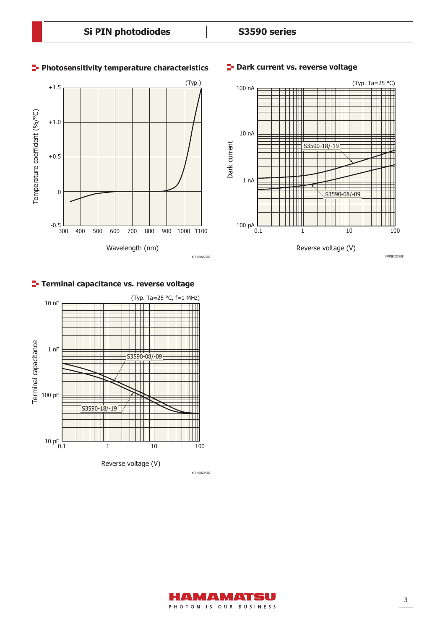### **Photosensitivity temperature characteristics**





### **Terminal capacitance vs. reverse voltage**



Reverse voltage (V)

### **P**- Dark current vs. reverse voltage



KPINB0232EE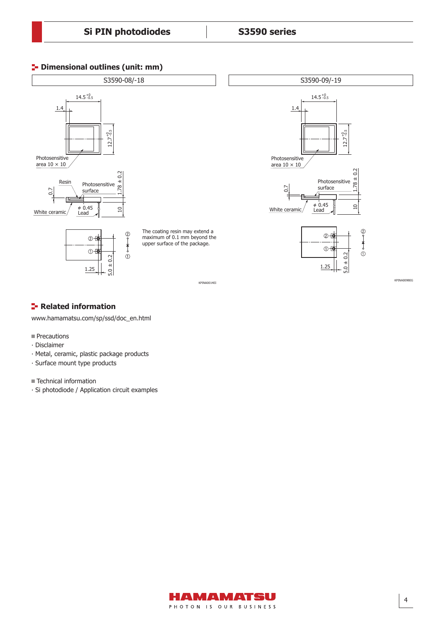### **<sup>1</sup>** Dimensional outlines (unit: mm)



### **Related information**

www.hamamatsu.com/sp/ssd/doc\_en.html

- **Precautions**
- ∙ Disclaimer
- ∙ Metal, ceramic, plastic package products
- ∙ Surface mount type products

■ Technical information

∙ Si photodiode / Application circuit examples